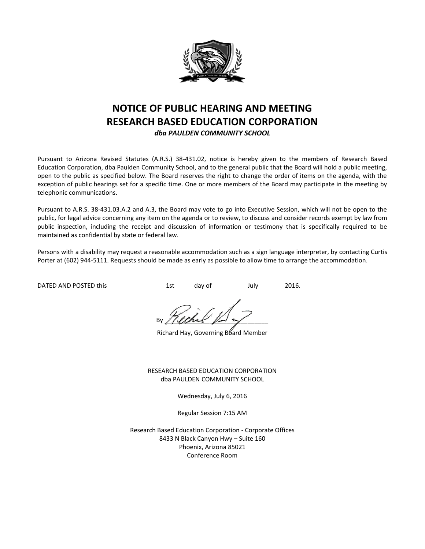

# **NOTICE OF PUBLIC HEARING AND MEETING RESEARCH BASED EDUCATION CORPORATION**

*dba PAULDEN COMMUNITY SCHOOL*

Pursuant to Arizona Revised Statutes (A.R.S.) 38-431.02, notice is hereby given to the members of Research Based Education Corporation, dba Paulden Community School, and to the general public that the Board will hold a public meeting, open to the public as specified below. The Board reserves the right to change the order of items on the agenda, with the exception of public hearings set for a specific time. One or more members of the Board may participate in the meeting by telephonic communications.

Pursuant to A.R.S. 38-431.03.A.2 and A.3, the Board may vote to go into Executive Session, which will not be open to the public, for legal advice concerning any item on the agenda or to review, to discuss and consider records exempt by law from public inspection, including the receipt and discussion of information or testimony that is specifically required to be maintained as confidential by state or federal law.

Persons with a disability may request a reasonable accommodation such as a sign language interpreter, by contacting Curtis Porter at (602) 944-5111. Requests should be made as early as possible to allow time to arrange the accommodation.

DATED AND POSTED this this the state of the day of the July 2016.

By / (land  $\mathbb{R}$ 

Richard Hay, Governing Board Member

RESEARCH BASED EDUCATION CORPORATION dba PAULDEN COMMUNITY SCHOOL

Wednesday, July 6, 2016

Regular Session 7:15 AM

Research Based Education Corporation - Corporate Offices 8433 N Black Canyon Hwy – Suite 160 Phoenix, Arizona 85021 Conference Room